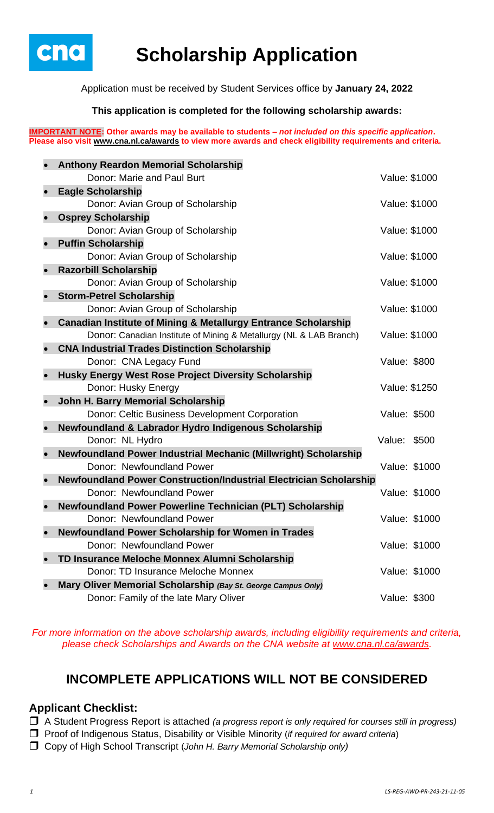

# **Scholarship Application**

Application must be received by Student Services office by **January 24, 2022**

### **This application is completed for the following scholarship awards:**

**IMPORTANT NOTE: Other awards may be available to students –** *not included on this specific application***. Please also visit [www.cna.nl.ca/awards](http://www.cna.nl.ca/awards) to view more awards and check eligibility requirements and criteria.**

|           | <b>Anthony Reardon Memorial Scholarship</b>                                            |               |               |
|-----------|----------------------------------------------------------------------------------------|---------------|---------------|
|           | Donor: Marie and Paul Burt                                                             | Value: \$1000 |               |
|           | <b>Eagle Scholarship</b>                                                               |               |               |
|           | Donor: Avian Group of Scholarship                                                      | Value: \$1000 |               |
|           | <b>Osprey Scholarship</b>                                                              |               |               |
|           | Donor: Avian Group of Scholarship                                                      | Value: \$1000 |               |
|           | <b>Puffin Scholarship</b>                                                              |               |               |
|           | Donor: Avian Group of Scholarship                                                      | Value: \$1000 |               |
|           | <b>Razorbill Scholarship</b>                                                           |               |               |
|           | Donor: Avian Group of Scholarship                                                      | Value: \$1000 |               |
|           | <b>Storm-Petrel Scholarship</b>                                                        |               |               |
|           | Donor: Avian Group of Scholarship                                                      | Value: \$1000 |               |
|           | <b>Canadian Institute of Mining &amp; Metallurgy Entrance Scholarship</b>              |               |               |
|           | Donor: Canadian Institute of Mining & Metallurgy (NL & LAB Branch)                     | Value: \$1000 |               |
|           | <b>CNA Industrial Trades Distinction Scholarship</b>                                   |               |               |
|           | Donor: CNA Legacy Fund                                                                 | Value: \$800  |               |
|           | Husky Energy West Rose Project Diversity Scholarship                                   |               |               |
|           | Donor: Husky Energy                                                                    | Value: \$1250 |               |
|           | John H. Barry Memorial Scholarship                                                     |               |               |
|           | <b>Donor: Celtic Business Development Corporation</b>                                  | Value: \$500  |               |
| $\bullet$ | Newfoundland & Labrador Hydro Indigenous Scholarship                                   |               |               |
|           | Donor: NL Hydro                                                                        | Value: \$500  |               |
|           | Newfoundland Power Industrial Mechanic (Millwright) Scholarship                        |               |               |
|           | Donor: Newfoundland Power                                                              |               | Value: \$1000 |
|           | <b>Newfoundland Power Construction/Industrial Electrician Scholarship</b>              |               |               |
|           | Donor: Newfoundland Power                                                              |               | Value: \$1000 |
|           | Newfoundland Power Powerline Technician (PLT) Scholarship<br>Donor: Newfoundland Power |               | Value: \$1000 |
|           |                                                                                        |               |               |
|           | <b>Newfoundland Power Scholarship for Women in Trades</b><br>Donor: Newfoundland Power |               | Value: \$1000 |
|           | TD Insurance Meloche Monnex Alumni Scholarship                                         |               |               |
|           | Donor: TD Insurance Meloche Monnex                                                     |               | Value: \$1000 |
|           | Mary Oliver Memorial Scholarship (Bay St. George Campus Only)                          |               |               |
|           | Donor: Family of the late Mary Oliver                                                  | Value: \$300  |               |
|           |                                                                                        |               |               |

*For more information on the above scholarship awards, including eligibility requirements and criteria, please check Scholarships and Awards on the CNA website at [www.cna.nl.ca/awards.](http://www.cna.nl.ca/awards)*

## **INCOMPLETE APPLICATIONS WILL NOT BE CONSIDERED**

### **Applicant Checklist:**

A Student Progress Report is attached *(a progress report is only required for courses still in progress)*

- Proof of Indigenous Status, Disability or Visible Minority (*if required for award criteria*)
- Copy of High School Transcript (*John H. Barry Memorial Scholarship only)*